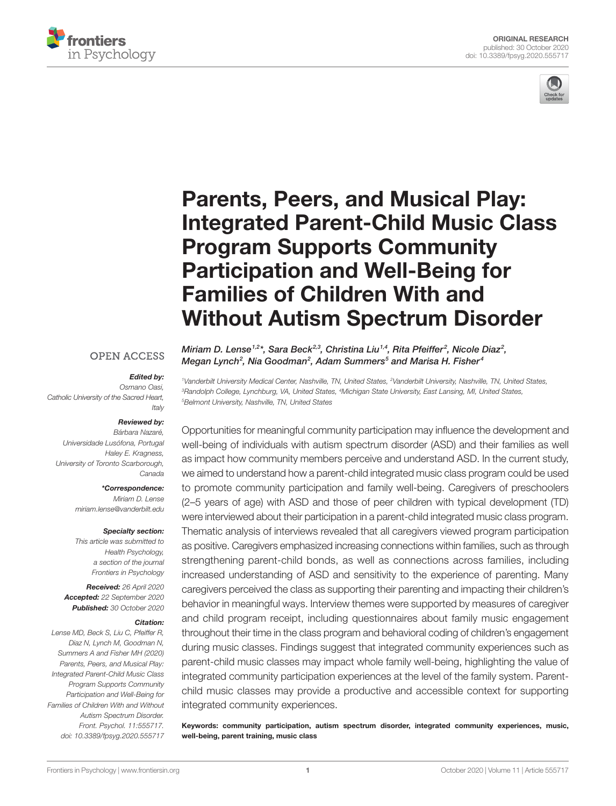



# [Parents, Peers, and Musical Play:](https://www.frontiersin.org/articles/10.3389/fpsyg.2020.555717/full)  [Integrated Parent-Child Music Class](https://www.frontiersin.org/articles/10.3389/fpsyg.2020.555717/full)  [Program Supports Community](https://www.frontiersin.org/articles/10.3389/fpsyg.2020.555717/full)  [Participation and Well-Being for](https://www.frontiersin.org/articles/10.3389/fpsyg.2020.555717/full)  [Families of Children With and](https://www.frontiersin.org/articles/10.3389/fpsyg.2020.555717/full)  [Without Autism Spectrum Disorder](https://www.frontiersin.org/articles/10.3389/fpsyg.2020.555717/full)

## **OPEN ACCESS**

#### *Edited by:*

*Osmano Oasi, Catholic University of the Sacred Heart, Italy*

#### *Reviewed by:*

*Bárbara Nazaré, Universidade Lusófona, Portugal Haley E. Kragness, University of Toronto Scarborough, Canada*

> *\*Correspondence: Miriam D. Lense [miriam.lense@vanderbilt.edu](mailto:miriam.lense@vanderbilt.edu)*

#### *Specialty section:*

*This article was submitted to Health Psychology, a section of the journal Frontiers in Psychology*

*Received: 26 April 2020 Accepted: 22 September 2020 Published: 30 October 2020*

#### *Citation:*

*Lense MD, Beck S, Liu C, Pfeiffer R, Diaz N, Lynch M, Goodman N, Summers A and Fisher MH (2020) Parents, Peers, and Musical Play: Integrated Parent-Child Music Class Program Supports Community Participation and Well-Being for Families of Children With and Without Autism Spectrum Disorder. Front. Psychol. 11:555717. [doi: 10.3389/fpsyg.2020.555717](https://doi.org/10.3389/fpsyg.2020.555717)*

*Miriam D. Lense<sup>1,2\*</sup>, Sara Beck<sup>2,3</sup>, Christina Liu<sup>1,4</sup>, Rita Pfeiffer<sup>2</sup>, Nicole Diaz<sup>2</sup>, Megan Lynch2 , Nia Goodman2 , Adam Summers5 and Marisa H. Fisher4*

<sup>1</sup>Vanderbilt University Medical Center, Nashville, TN, United States, <sup>2</sup>Vanderbilt University, Nashville, TN, United States, *3 Randolph College, Lynchburg, VA, United States, 4 Michigan State University, East Lansing, MI, United States, 5 Belmont University, Nashville, TN, United States*

Opportunities for meaningful community participation may influence the development and well-being of individuals with autism spectrum disorder (ASD) and their families as well as impact how community members perceive and understand ASD. In the current study, we aimed to understand how a parent-child integrated music class program could be used to promote community participation and family well-being. Caregivers of preschoolers (2–5 years of age) with ASD and those of peer children with typical development (TD) were interviewed about their participation in a parent-child integrated music class program. Thematic analysis of interviews revealed that all caregivers viewed program participation as positive. Caregivers emphasized increasing connections within families, such as through strengthening parent-child bonds, as well as connections across families, including increased understanding of ASD and sensitivity to the experience of parenting. Many caregivers perceived the class as supporting their parenting and impacting their children's behavior in meaningful ways. Interview themes were supported by measures of caregiver and child program receipt, including questionnaires about family music engagement throughout their time in the class program and behavioral coding of children's engagement during music classes. Findings suggest that integrated community experiences such as parent-child music classes may impact whole family well-being, highlighting the value of integrated community participation experiences at the level of the family system. Parentchild music classes may provide a productive and accessible context for supporting integrated community experiences.

Keywords: community participation, autism spectrum disorder, integrated community experiences, music, well-being, parent training, music class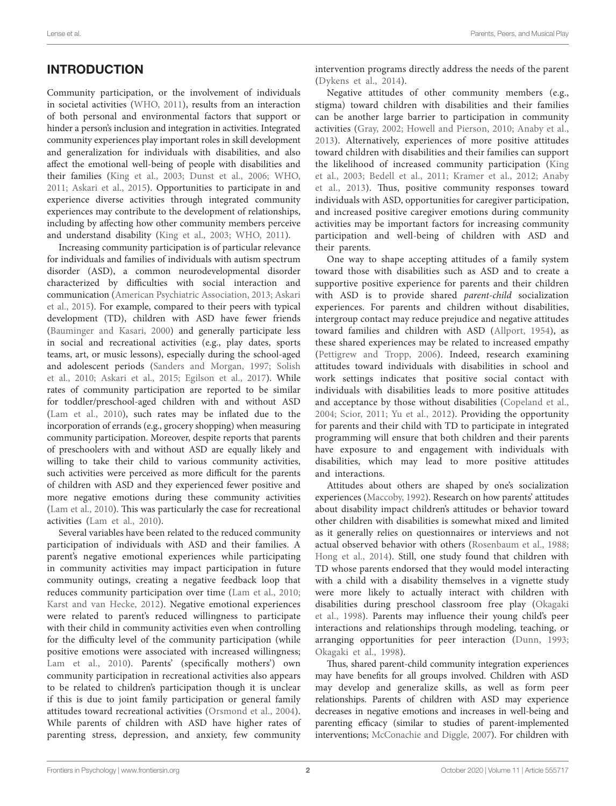# INTRODUCTION

Community participation, or the involvement of individuals in societal activities [\(WHO, 2011](#page-12-0)), results from an interaction of both personal and environmental factors that support or hinder a person's inclusion and integration in activities. Integrated community experiences play important roles in skill development and generalization for individuals with disabilities, and also affect the emotional well-being of people with disabilities and their families ([King et al., 2003](#page-12-1); [Dunst et al., 2006](#page-12-2); [WHO,](#page-12-0)  [2011;](#page-12-0) [Askari et al., 2015\)](#page-11-0). Opportunities to participate in and experience diverse activities through integrated community experiences may contribute to the development of relationships, including by affecting how other community members perceive and understand disability ([King et al., 2003](#page-12-1); [WHO, 2011\)](#page-12-0).

Increasing community participation is of particular relevance for individuals and families of individuals with autism spectrum disorder (ASD), a common neurodevelopmental disorder characterized by difficulties with social interaction and communication [\(American Psychiatric Association, 2013](#page-11-1); [Askari](#page-11-0)  [et al., 2015\)](#page-11-0). For example, compared to their peers with typical development (TD), children with ASD have fewer friends ([Bauminger and Kasari, 2000\)](#page-11-2) and generally participate less in social and recreational activities (e.g., play dates, sports teams, art, or music lessons), especially during the school-aged and adolescent periods [\(Sanders and Morgan, 1997;](#page-12-3) [Solish](#page-12-4)  [et al., 2010;](#page-12-4) [Askari et al., 2015](#page-11-0); [Egilson et al., 2017](#page-12-5)). While rates of community participation are reported to be similar for toddler/preschool-aged children with and without ASD ([Lam et al., 2010](#page-12-6)), such rates may be inflated due to the incorporation of errands (e.g., grocery shopping) when measuring community participation. Moreover, despite reports that parents of preschoolers with and without ASD are equally likely and willing to take their child to various community activities, such activities were perceived as more difficult for the parents of children with ASD and they experienced fewer positive and more negative emotions during these community activities ([Lam et al., 2010](#page-12-6)). This was particularly the case for recreational activities ([Lam et al., 2010\)](#page-12-6).

Several variables have been related to the reduced community participation of individuals with ASD and their families. A parent's negative emotional experiences while participating in community activities may impact participation in future community outings, creating a negative feedback loop that reduces community participation over time [\(Lam et al., 2010](#page-12-6); [Karst and van Hecke, 2012\)](#page-12-7). Negative emotional experiences were related to parent's reduced willingness to participate with their child in community activities even when controlling for the difficulty level of the community participation (while positive emotions were associated with increased willingness; Lam et al., 2010). Parents' (specifically mothers') own community participation in recreational activities also appears to be related to children's participation though it is unclear if this is due to joint family participation or general family attitudes toward recreational activities ([Orsmond et al., 2004](#page-12-8)). While parents of children with ASD have higher rates of parenting stress, depression, and anxiety, few community intervention programs directly address the needs of the parent [\(Dykens et al., 2014\)](#page-12-9).

Negative attitudes of other community members (e.g., stigma) toward children with disabilities and their families can be another large barrier to participation in community activities ([Gray, 2002;](#page-12-10) [Howell and Pierson, 2010;](#page-12-11) [Anaby et al.,](#page-11-3)  [2013](#page-11-3)). Alternatively, experiences of more positive attitudes toward children with disabilities and their families can support the likelihood of increased community participation [\(King](#page-12-1)  [et al., 2003](#page-12-1); [Bedell et al., 2011;](#page-11-4) [Kramer et al., 2012](#page-12-12); [Anaby](#page-11-3)  [et al., 2013\)](#page-11-3). Thus, positive community responses toward individuals with ASD, opportunities for caregiver participation, and increased positive caregiver emotions during community activities may be important factors for increasing community participation and well-being of children with ASD and their parents.

One way to shape accepting attitudes of a family system toward those with disabilities such as ASD and to create a supportive positive experience for parents and their children with ASD is to provide shared *parent-child* socialization experiences. For parents and children without disabilities, intergroup contact may reduce prejudice and negative attitudes toward families and children with ASD ([Allport, 1954\)](#page-11-5), as these shared experiences may be related to increased empathy [\(Pettigrew and Tropp, 2006\)](#page-12-13). Indeed, research examining attitudes toward individuals with disabilities in school and work settings indicates that positive social contact with individuals with disabilities leads to more positive attitudes and acceptance by those without disabilities [\(Copeland et al.,](#page-12-14)  [2004](#page-12-14); [Scior, 2011;](#page-12-15) [Yu et al., 2012](#page-13-0)). Providing the opportunity for parents and their child with TD to participate in integrated programming will ensure that both children and their parents have exposure to and engagement with individuals with disabilities, which may lead to more positive attitudes and interactions.

Attitudes about others are shaped by one's socialization experiences ([Maccoby, 1992\)](#page-12-16). Research on how parents' attitudes about disability impact children's attitudes or behavior toward other children with disabilities is somewhat mixed and limited as it generally relies on questionnaires or interviews and not actual observed behavior with others [\(Rosenbaum et al., 1988;](#page-12-17) [Hong et al., 2014](#page-12-18)). Still, one study found that children with TD whose parents endorsed that they would model interacting with a child with a disability themselves in a vignette study were more likely to actually interact with children with disabilities during preschool classroom free play ([Okagaki](#page-12-19)  [et al., 1998](#page-12-19)). Parents may influence their young child's peer interactions and relationships through modeling, teaching, or arranging opportunities for peer interaction [\(Dunn, 1993;](#page-12-20) [Okagaki et al., 1998\)](#page-12-19).

Thus, shared parent-child community integration experiences may have benefits for all groups involved. Children with ASD may develop and generalize skills, as well as form peer relationships. Parents of children with ASD may experience decreases in negative emotions and increases in well-being and parenting efficacy (similar to studies of parent-implemented interventions; [McConachie and Diggle, 2007\)](#page-12-21). For children with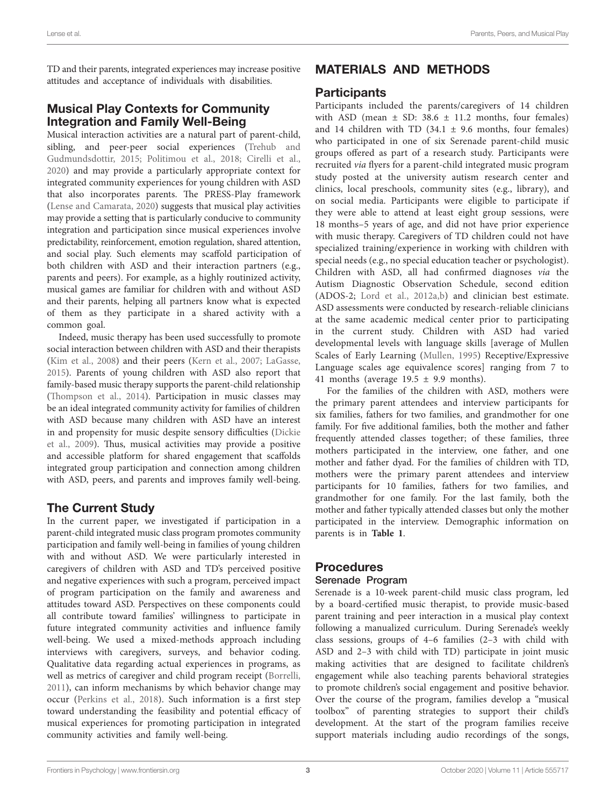TD and their parents, integrated experiences may increase positive attitudes and acceptance of individuals with disabilities.

## Musical Play Contexts for Community Integration and Family Well-Being

Musical interaction activities are a natural part of parent-child, sibling, and peer-peer social experiences ([Trehub and](#page-12-22)  [Gudmundsdottir, 2015;](#page-12-22) [Politimou et al., 2018](#page-12-23); [Cirelli et al.,](#page-11-6)  [2020\)](#page-11-6) and may provide a particularly appropriate context for integrated community experiences for young children with ASD that also incorporates parents. The PRESS-Play framework ([Lense and Camarata, 2020\)](#page-12-24) suggests that musical play activities may provide a setting that is particularly conducive to community integration and participation since musical experiences involve predictability, reinforcement, emotion regulation, shared attention, and social play. Such elements may scaffold participation of both children with ASD and their interaction partners (e.g., parents and peers). For example, as a highly routinized activity, musical games are familiar for children with and without ASD and their parents, helping all partners know what is expected of them as they participate in a shared activity with a common goal.

Indeed, music therapy has been used successfully to promote social interaction between children with ASD and their therapists ([Kim et al., 2008](#page-12-25)) and their peers ([Kern et al., 2007](#page-12-26); [LaGasse,](#page-12-27)  [2015\)](#page-12-27). Parents of young children with ASD also report that family-based music therapy supports the parent-child relationship ([Thompson et al., 2014](#page-12-28)). Participation in music classes may be an ideal integrated community activity for families of children with ASD because many children with ASD have an interest in and propensity for music despite sensory difficulties ([Dickie](#page-12-29)  [et al., 2009\)](#page-12-29). Thus, musical activities may provide a positive and accessible platform for shared engagement that scaffolds integrated group participation and connection among children with ASD, peers, and parents and improves family well-being.

## The Current Study

In the current paper, we investigated if participation in a parent-child integrated music class program promotes community participation and family well-being in families of young children with and without ASD. We were particularly interested in caregivers of children with ASD and TD's perceived positive and negative experiences with such a program, perceived impact of program participation on the family and awareness and attitudes toward ASD. Perspectives on these components could all contribute toward families' willingness to participate in future integrated community activities and influence family well-being. We used a mixed-methods approach including interviews with caregivers, surveys, and behavior coding. Qualitative data regarding actual experiences in programs, as well as metrics of caregiver and child program receipt ([Borrelli,](#page-11-7)  [2011\)](#page-11-7), can inform mechanisms by which behavior change may occur ([Perkins et al., 2018](#page-12-30)). Such information is a first step toward understanding the feasibility and potential efficacy of musical experiences for promoting participation in integrated community activities and family well-being.

# MATERIALS AND METHODS

## **Participants**

Participants included the parents/caregivers of 14 children with ASD (mean  $\pm$  SD: 38.6  $\pm$  11.2 months, four females) and 14 children with TD  $(34.1 \pm 9.6 \text{ months}, \text{four females})$ who participated in one of six Serenade parent-child music groups offered as part of a research study. Participants were recruited *via* flyers for a parent-child integrated music program study posted at the university autism research center and clinics, local preschools, community sites (e.g., library), and on social media. Participants were eligible to participate if they were able to attend at least eight group sessions, were 18 months–5 years of age, and did not have prior experience with music therapy. Caregivers of TD children could not have specialized training/experience in working with children with special needs (e.g., no special education teacher or psychologist). Children with ASD, all had confirmed diagnoses *via* the Autism Diagnostic Observation Schedule, second edition (ADOS-2; [Lord et al., 2012a,](#page-12-31)[b\)](#page-12-32) and clinician best estimate. ASD assessments were conducted by research-reliable clinicians at the same academic medical center prior to participating in the current study. Children with ASD had varied developmental levels with language skills [average of Mullen Scales of Early Learning [\(Mullen, 1995\)](#page-12-33) Receptive/Expressive Language scales age equivalence scores] ranging from 7 to 41 months (average  $19.5 \pm 9.9$  months).

For the families of the children with ASD, mothers were the primary parent attendees and interview participants for six families, fathers for two families, and grandmother for one family. For five additional families, both the mother and father frequently attended classes together; of these families, three mothers participated in the interview, one father, and one mother and father dyad. For the families of children with TD, mothers were the primary parent attendees and interview participants for 10 families, fathers for two families, and grandmother for one family. For the last family, both the mother and father typically attended classes but only the mother participated in the interview. Demographic information on parents is in **[Table 1](#page-3-0)**.

## Procedures

#### Serenade Program

Serenade is a 10-week parent-child music class program, led by a board-certified music therapist, to provide music-based parent training and peer interaction in a musical play context following a manualized curriculum. During Serenade's weekly class sessions, groups of 4–6 families (2–3 with child with ASD and 2–3 with child with TD) participate in joint music making activities that are designed to facilitate children's engagement while also teaching parents behavioral strategies to promote children's social engagement and positive behavior. Over the course of the program, families develop a "musical toolbox" of parenting strategies to support their child's development. At the start of the program families receive support materials including audio recordings of the songs,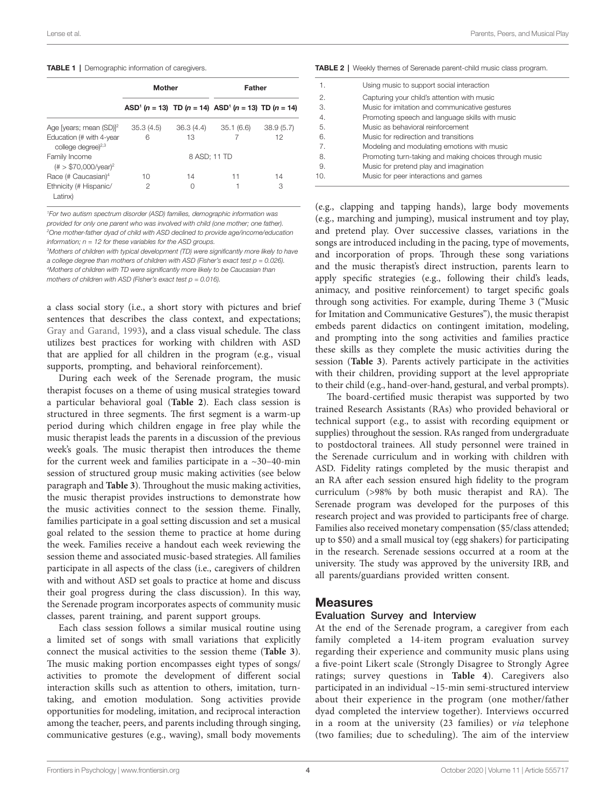#### <span id="page-3-0"></span>TABLE 1 | Demographic information of caregivers.

|                                                            | <b>Mother</b> |           | <b>Father</b>                                                               |           |  |
|------------------------------------------------------------|---------------|-----------|-----------------------------------------------------------------------------|-----------|--|
|                                                            |               |           | ASD <sup>1</sup> (n = 13) TD (n = 14) ASD <sup>1</sup> (n = 13) TD (n = 14) |           |  |
| Age [years; mean (SD)] <sup>2</sup>                        | 35.3(4.5)     | 36.3(4.4) | 35.1(6.6)                                                                   | 38.9(5.7) |  |
| Education (# with 4-year<br>college degree) <sup>2,3</sup> | 6             | 13        |                                                                             | 12        |  |
| Family Income<br>$(\# > $70,000/\text{year})^2$            | 8 ASD: 11 TD  |           |                                                                             |           |  |
| Race (# Caucasian) <sup>4</sup>                            | 10            | 14        | 11                                                                          | 14        |  |
| Ethnicity (# Hispanic/<br>Latinx)                          | 2             | $\cap$    |                                                                             | 3         |  |

*1 For two autism spectrum disorder (ASD) families, demographic information was provided for only one parent who was involved with child (one mother; one father). 2 One mother-father dyad of child with ASD declined to provide age/income/education information; n = 12 for these variables for the ASD groups.*

*3 Mothers of children with typical development (TD) were significantly more likely to have a college degree than mothers of children with ASD (Fisher's exact test p = 0.026). 4 Mothers of children with TD were significantly more likely to be Caucasian than mothers of children with ASD (Fisher's exact test p = 0.016).*

a class social story (i.e., a short story with pictures and brief sentences that describes the class context, and expectations; [Gray and Garand, 1993](#page-12-34)), and a class visual schedule. The class utilizes best practices for working with children with ASD that are applied for all children in the program (e.g., visual supports, prompting, and behavioral reinforcement).

During each week of the Serenade program, the music therapist focuses on a theme of using musical strategies toward a particular behavioral goal (**[Table 2](#page-3-1)**). Each class session is structured in three segments. The first segment is a warm-up period during which children engage in free play while the music therapist leads the parents in a discussion of the previous week's goals. The music therapist then introduces the theme for the current week and families participate in a  $\sim$ 30–40-min session of structured group music making activities (see below paragraph and **[Table 3](#page-4-0)**). Throughout the music making activities, the music therapist provides instructions to demonstrate how the music activities connect to the session theme. Finally, families participate in a goal setting discussion and set a musical goal related to the session theme to practice at home during the week. Families receive a handout each week reviewing the session theme and associated music-based strategies. All families participate in all aspects of the class (i.e., caregivers of children with and without ASD set goals to practice at home and discuss their goal progress during the class discussion). In this way, the Serenade program incorporates aspects of community music classes, parent training, and parent support groups.

Each class session follows a similar musical routine using a limited set of songs with small variations that explicitly connect the musical activities to the session theme (**[Table 3](#page-4-0)**). The music making portion encompasses eight types of songs/ activities to promote the development of different social interaction skills such as attention to others, imitation, turntaking, and emotion modulation. Song activities provide opportunities for modeling, imitation, and reciprocal interaction among the teacher, peers, and parents including through singing, communicative gestures (e.g., waving), small body movements <span id="page-3-1"></span>TABLE 2 | Weekly themes of Serenade parent-child music class program.

| 1.  | Using music to support social interaction              |
|-----|--------------------------------------------------------|
| 2.  | Capturing your child's attention with music            |
| 3.  | Music for imitation and communicative gestures         |
| 4.  | Promoting speech and language skills with music        |
| 5.  | Music as behavioral reinforcement                      |
| 6.  | Music for redirection and transitions                  |
| 7.  | Modeling and modulating emotions with music            |
| 8.  | Promoting turn-taking and making choices through music |
| 9.  | Music for pretend play and imagination                 |
| 10. | Music for peer interactions and games                  |
|     |                                                        |

(e.g., clapping and tapping hands), large body movements (e.g., marching and jumping), musical instrument and toy play, and pretend play. Over successive classes, variations in the songs are introduced including in the pacing, type of movements, and incorporation of props. Through these song variations and the music therapist's direct instruction, parents learn to apply specific strategies (e.g., following their child's leads, animacy, and positive reinforcement) to target specific goals through song activities. For example, during Theme 3 ("Music for Imitation and Communicative Gestures"), the music therapist embeds parent didactics on contingent imitation, modeling, and prompting into the song activities and families practice these skills as they complete the music activities during the session (**[Table 3](#page-4-0)**). Parents actively participate in the activities with their children, providing support at the level appropriate to their child (e.g., hand-over-hand, gestural, and verbal prompts).

The board-certified music therapist was supported by two trained Research Assistants (RAs) who provided behavioral or technical support (e.g., to assist with recording equipment or supplies) throughout the session. RAs ranged from undergraduate to postdoctoral trainees. All study personnel were trained in the Serenade curriculum and in working with children with ASD. Fidelity ratings completed by the music therapist and an RA after each session ensured high fidelity to the program curriculum (>98% by both music therapist and RA). The Serenade program was developed for the purposes of this research project and was provided to participants free of charge. Families also received monetary compensation (\$5/class attended; up to \$50) and a small musical toy (egg shakers) for participating in the research. Serenade sessions occurred at a room at the university. The study was approved by the university IRB, and all parents/guardians provided written consent.

#### Measures

#### Evaluation Survey and Interview

At the end of the Serenade program, a caregiver from each family completed a 14-item program evaluation survey regarding their experience and community music plans using a five-point Likert scale (Strongly Disagree to Strongly Agree ratings; survey questions in **[Table 4](#page-4-1)**). Caregivers also participated in an individual ~15-min semi-structured interview about their experience in the program (one mother/father dyad completed the interview together). Interviews occurred in a room at the university (23 families) or *via* telephone (two families; due to scheduling). The aim of the interview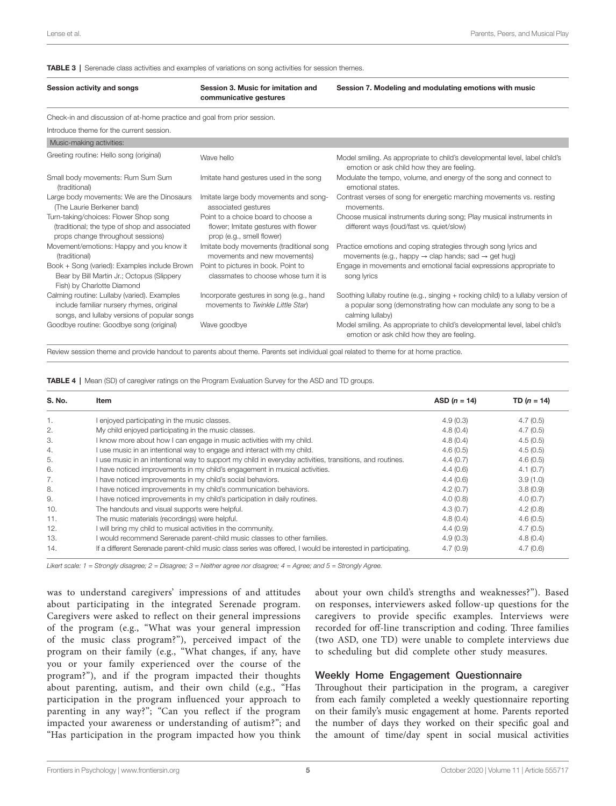<span id="page-4-0"></span>TABLE 3 | Serenade class activities and examples of variations on song activities for session themes.

| Session activity and songs                                                                                                               | Session 3. Music for imitation and                                                                       | Session 7. Modeling and modulating emotions with music                                                                                                                  |
|------------------------------------------------------------------------------------------------------------------------------------------|----------------------------------------------------------------------------------------------------------|-------------------------------------------------------------------------------------------------------------------------------------------------------------------------|
|                                                                                                                                          | communicative gestures                                                                                   |                                                                                                                                                                         |
| Check-in and discussion of at-home practice and goal from prior session.                                                                 |                                                                                                          |                                                                                                                                                                         |
| Introduce theme for the current session.                                                                                                 |                                                                                                          |                                                                                                                                                                         |
| Music-making activities:                                                                                                                 |                                                                                                          |                                                                                                                                                                         |
| Greeting routine: Hello song (original)                                                                                                  | Wave hello                                                                                               | Model smiling. As appropriate to child's developmental level, label child's<br>emotion or ask child how they are feeling.                                               |
| Small body movements: Rum Sum Sum<br>(traditional)                                                                                       | Imitate hand gestures used in the song                                                                   | Modulate the tempo, volume, and energy of the song and connect to<br>emotional states.                                                                                  |
| Large body movements: We are the Dinosaurs<br>(The Laurie Berkener band)                                                                 | Imitate large body movements and song-<br>associated gestures                                            | Contrast verses of song for energetic marching movements vs. resting<br>movements.                                                                                      |
| Turn-taking/choices: Flower Shop song<br>(traditional; the type of shop and associated<br>props change throughout sessions)              | Point to a choice board to choose a<br>flower; Imitate gestures with flower<br>prop (e.g., smell flower) | Choose musical instruments during song; Play musical instruments in<br>different ways (loud/fast vs. quiet/slow)                                                        |
| Movement/emotions: Happy and you know it<br>(traditional)                                                                                | Imitate body movements (traditional song<br>movements and new movements)                                 | Practice emotions and coping strategies through song lyrics and<br>movements (e.g., happy $\rightarrow$ clap hands; sad $\rightarrow$ get hug)                          |
| Book + Song (varied): Examples include Brown<br>Bear by Bill Martin Jr.; Octopus (Slippery<br>Fish) by Charlotte Diamond                 | Point to pictures in book. Point to<br>classmates to choose whose turn it is                             | Engage in movements and emotional facial expressions appropriate to<br>song lyrics                                                                                      |
| Calming routine: Lullaby (varied). Examples<br>include familiar nursery rhymes, original<br>songs, and lullaby versions of popular songs | Incorporate gestures in song (e.g., hand<br>movements to Twinkle Little Star)                            | Soothing lullaby routine (e.g., singing + rocking child) to a lullaby version of<br>a popular song (demonstrating how can modulate any song to be a<br>calming lullaby) |
| Goodbye routine: Goodbye song (original)                                                                                                 | Wave goodbye                                                                                             | Model smiling. As appropriate to child's developmental level, label child's<br>emotion or ask child how they are feeling.                                               |

Review session theme and provide handout to parents about theme. Parents set individual goal related to theme for at home practice.

<span id="page-4-1"></span>TABLE 4 | Mean (SD) of caregiver ratings on the Program Evaluation Survey for the ASD and TD groups.

| S. No.         | Item                                                                                                         | ASD $(n = 14)$ | TD $(n = 14)$ |
|----------------|--------------------------------------------------------------------------------------------------------------|----------------|---------------|
| $\mathbf{1}$ . | I enjoyed participating in the music classes.                                                                | 4.9(0.3)       | 4.7(0.5)      |
| 2.             | My child enjoyed participating in the music classes.                                                         | 4.8(0.4)       | 4.7(0.5)      |
| 3.             | I know more about how I can engage in music activities with my child.                                        | 4.8(0.4)       | 4.5(0.5)      |
| 4.             | I use music in an intentional way to engage and interact with my child.                                      | 4.6(0.5)       | 4.5(0.5)      |
| 5.             | I use music in an intentional way to support my child in everyday activities, transitions, and routines.     | 4.4(0.7)       | 4.6(0.5)      |
| 6.             | I have noticed improvements in my child's engagement in musical activities.                                  | 4.4(0.6)       | 4.1(0.7)      |
| 7.             | I have noticed improvements in my child's social behaviors.                                                  | 4.4(0.6)       | 3.9(1.0)      |
| 8.             | I have noticed improvements in my child's communication behaviors.                                           | 4.2(0.7)       | 3.8(0.9)      |
| 9.             | I have noticed improvements in my child's participation in daily routines.                                   | 4.0(0.8)       | 4.0(0.7)      |
| 10.            | The handouts and visual supports were helpful.                                                               | 4.3(0.7)       | 4.2(0.8)      |
| 11.            | The music materials (recordings) were helpful.                                                               | 4.8(0.4)       | 4.6(0.5)      |
| 12.            | I will bring my child to musical activities in the community.                                                | 4.4(0.9)       | 4.7(0.5)      |
| 13.            | I would recommend Serenade parent-child music classes to other families.                                     | 4.9(0.3)       | 4.8(0.4)      |
| 14.            | If a different Serenade parent-child music class series was offered, I would be interested in participating. | 4.7(0.9)       | 4.7(0.6)      |

*Likert scale: 1 = Strongly disagree; 2 = Disagree; 3 = Neither agree nor disagree; 4 = Agree; and 5 = Strongly Agree.*

was to understand caregivers' impressions of and attitudes about participating in the integrated Serenade program. Caregivers were asked to reflect on their general impressions of the program (e.g., "What was your general impression of the music class program?"), perceived impact of the program on their family (e.g., "What changes, if any, have you or your family experienced over the course of the program?"), and if the program impacted their thoughts about parenting, autism, and their own child (e.g., "Has participation in the program influenced your approach to parenting in any way?"; "Can you reflect if the program impacted your awareness or understanding of autism?"; and "Has participation in the program impacted how you think

about your own child's strengths and weaknesses?"). Based on responses, interviewers asked follow-up questions for the caregivers to provide specific examples. Interviews were recorded for off-line transcription and coding. Three families (two ASD, one TD) were unable to complete interviews due to scheduling but did complete other study measures.

#### Weekly Home Engagement Questionnaire

Throughout their participation in the program, a caregiver from each family completed a weekly questionnaire reporting on their family's music engagement at home. Parents reported the number of days they worked on their specific goal and the amount of time/day spent in social musical activities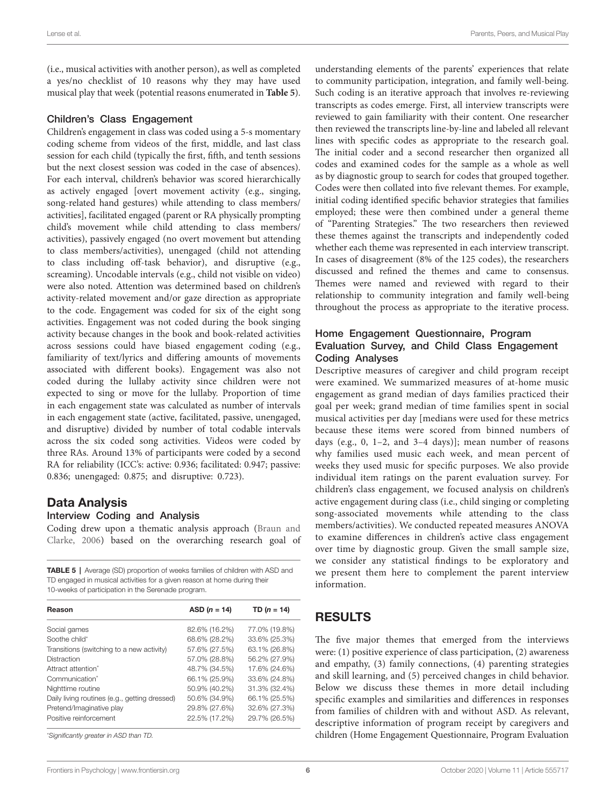(i.e., musical activities with another person), as well as completed a yes/no checklist of 10 reasons why they may have used musical play that week (potential reasons enumerated in **[Table 5](#page-5-0)**).

#### Children's Class Engagement

Children's engagement in class was coded using a 5-s momentary coding scheme from videos of the first, middle, and last class session for each child (typically the first, fifth, and tenth sessions but the next closest session was coded in the case of absences). For each interval, children's behavior was scored hierarchically as actively engaged [overt movement activity (e.g., singing, song-related hand gestures) while attending to class members/ activities], facilitated engaged (parent or RA physically prompting child's movement while child attending to class members/ activities), passively engaged (no overt movement but attending to class members/activities), unengaged (child not attending to class including off-task behavior), and disruptive (e.g., screaming). Uncodable intervals (e.g., child not visible on video) were also noted. Attention was determined based on children's activity-related movement and/or gaze direction as appropriate to the code. Engagement was coded for six of the eight song activities. Engagement was not coded during the book singing activity because changes in the book and book-related activities across sessions could have biased engagement coding (e.g., familiarity of text/lyrics and differing amounts of movements associated with different books). Engagement was also not coded during the lullaby activity since children were not expected to sing or move for the lullaby. Proportion of time in each engagement state was calculated as number of intervals in each engagement state (active, facilitated, passive, unengaged, and disruptive) divided by number of total codable intervals across the six coded song activities. Videos were coded by three RAs. Around 13% of participants were coded by a second RA for reliability (ICC's: active: 0.936; facilitated: 0.947; passive: 0.836; unengaged: 0.875; and disruptive: 0.723).

#### Data Analysis Interview Coding and Analysis

Coding drew upon a thematic analysis approach ([Braun and](#page-11-8)  [Clarke, 2006](#page-11-8)) based on the overarching research goal of

<span id="page-5-0"></span>TABLE 5 | Average (SD) proportion of weeks families of children with ASD and TD engaged in musical activities for a given reason at home during their 10-weeks of participation in the Serenade program.

| Reason                                        | ASD $(n = 14)$ | TD $(n = 14)$ |
|-----------------------------------------------|----------------|---------------|
| Social games                                  | 82.6% (16.2%)  | 77.0% (19.8%) |
| Soothe child*                                 | 68.6% (28.2%)  | 33.6% (25.3%) |
| Transitions (switching to a new activity)     | 57.6% (27.5%)  | 63.1% (26.8%) |
| Distraction                                   | 57.0% (28.8%)  | 56.2% (27.9%) |
| Attract attention®                            | 48.7% (34.5%)  | 17.6% (24.6%) |
| Communication*                                | 66.1% (25.9%)  | 33.6% (24.8%) |
| Nighttime routine                             | 50.9% (40.2%)  | 31.3% (32.4%) |
| Daily living routines (e.g., getting dressed) | 50.6% (34.9%)  | 66.1% (25.5%) |
| Pretend/Imaginative play                      | 29.8% (27.6%)  | 32.6% (27.3%) |
| Positive reinforcement                        | 22.5% (17.2%)  | 29.7% (26.5%) |
|                                               |                |               |

\* *Significantly greater in ASD than TD.*

understanding elements of the parents' experiences that relate to community participation, integration, and family well-being. Such coding is an iterative approach that involves re-reviewing transcripts as codes emerge. First, all interview transcripts were reviewed to gain familiarity with their content. One researcher then reviewed the transcripts line-by-line and labeled all relevant lines with specific codes as appropriate to the research goal. The initial coder and a second researcher then organized all codes and examined codes for the sample as a whole as well as by diagnostic group to search for codes that grouped together. Codes were then collated into five relevant themes. For example, initial coding identified specific behavior strategies that families employed; these were then combined under a general theme of "Parenting Strategies." The two researchers then reviewed these themes against the transcripts and independently coded whether each theme was represented in each interview transcript. In cases of disagreement (8% of the 125 codes), the researchers discussed and refined the themes and came to consensus. Themes were named and reviewed with regard to their relationship to community integration and family well-being throughout the process as appropriate to the iterative process.

#### Home Engagement Questionnaire, Program Evaluation Survey, and Child Class Engagement Coding Analyses

Descriptive measures of caregiver and child program receipt were examined. We summarized measures of at-home music engagement as grand median of days families practiced their goal per week; grand median of time families spent in social musical activities per day [medians were used for these metrics because these items were scored from binned numbers of days (e.g.,  $0$ , 1-2, and 3-4 days)]; mean number of reasons why families used music each week, and mean percent of weeks they used music for specific purposes. We also provide individual item ratings on the parent evaluation survey. For children's class engagement, we focused analysis on children's active engagement during class (i.e., child singing or completing song-associated movements while attending to the class members/activities). We conducted repeated measures ANOVA to examine differences in children's active class engagement over time by diagnostic group. Given the small sample size, we consider any statistical findings to be exploratory and we present them here to complement the parent interview information.

## RESULTS

The five major themes that emerged from the interviews were: (1) positive experience of class participation, (2) awareness and empathy, (3) family connections, (4) parenting strategies and skill learning, and (5) perceived changes in child behavior. Below we discuss these themes in more detail including specific examples and similarities and differences in responses from families of children with and without ASD. As relevant, descriptive information of program receipt by caregivers and children (Home Engagement Questionnaire, Program Evaluation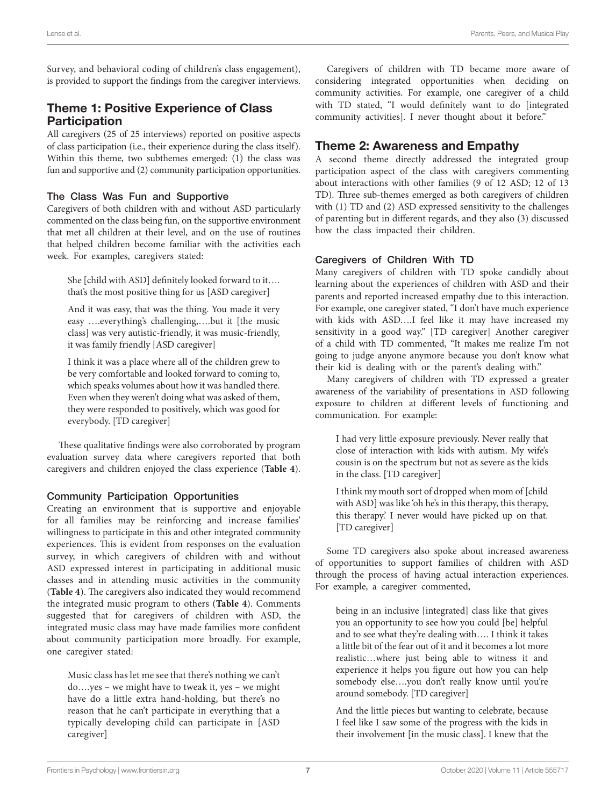Survey, and behavioral coding of children's class engagement), is provided to support the findings from the caregiver interviews.

## Theme 1: Positive Experience of Class **Participation**

All caregivers (25 of 25 interviews) reported on positive aspects of class participation (i.e., their experience during the class itself). Within this theme, two subthemes emerged: (1) the class was fun and supportive and (2) community participation opportunities.

#### The Class Was Fun and Supportive

Caregivers of both children with and without ASD particularly commented on the class being fun, on the supportive environment that met all children at their level, and on the use of routines that helped children become familiar with the activities each week. For examples, caregivers stated:

She [child with ASD] definitely looked forward to it…. that's the most positive thing for us [ASD caregiver]

And it was easy, that was the thing. You made it very easy ….everything's challenging,….but it [the music class] was very autistic-friendly, it was music-friendly, it was family friendly [ASD caregiver]

I think it was a place where all of the children grew to be very comfortable and looked forward to coming to, which speaks volumes about how it was handled there. Even when they weren't doing what was asked of them, they were responded to positively, which was good for everybody. [TD caregiver]

These qualitative findings were also corroborated by program evaluation survey data where caregivers reported that both caregivers and children enjoyed the class experience (**[Table 4](#page-4-1)**).

#### Community Participation Opportunities

Creating an environment that is supportive and enjoyable for all families may be reinforcing and increase families' willingness to participate in this and other integrated community experiences. This is evident from responses on the evaluation survey, in which caregivers of children with and without ASD expressed interest in participating in additional music classes and in attending music activities in the community (**[Table 4](#page-4-1)**). The caregivers also indicated they would recommend the integrated music program to others (**[Table 4](#page-4-1)**). Comments suggested that for caregivers of children with ASD, the integrated music class may have made families more confident about community participation more broadly. For example, one caregiver stated:

Music class has let me see that there's nothing we can't do….yes – we might have to tweak it, yes – we might have do a little extra hand-holding, but there's no reason that he can't participate in everything that a typically developing child can participate in [ASD caregiver]

Caregivers of children with TD became more aware of considering integrated opportunities when deciding on community activities. For example, one caregiver of a child with TD stated, "I would definitely want to do [integrated community activities]. I never thought about it before."

## Theme 2: Awareness and Empathy

A second theme directly addressed the integrated group participation aspect of the class with caregivers commenting about interactions with other families (9 of 12 ASD; 12 of 13 TD). Three sub-themes emerged as both caregivers of children with (1) TD and (2) ASD expressed sensitivity to the challenges of parenting but in different regards, and they also (3) discussed how the class impacted their children.

#### Caregivers of Children With TD

Many caregivers of children with TD spoke candidly about learning about the experiences of children with ASD and their parents and reported increased empathy due to this interaction. For example, one caregiver stated, "I don't have much experience with kids with ASD….I feel like it may have increased my sensitivity in a good way." [TD caregiver] Another caregiver of a child with TD commented, "It makes me realize I'm not going to judge anyone anymore because you don't know what their kid is dealing with or the parent's dealing with."

Many caregivers of children with TD expressed a greater awareness of the variability of presentations in ASD following exposure to children at different levels of functioning and communication. For example:

I had very little exposure previously. Never really that close of interaction with kids with autism. My wife's cousin is on the spectrum but not as severe as the kids in the class. [TD caregiver]

I think my mouth sort of dropped when mom of [child with ASD] was like 'oh he's in this therapy, this therapy, this therapy.' I never would have picked up on that. [TD caregiver]

Some TD caregivers also spoke about increased awareness of opportunities to support families of children with ASD through the process of having actual interaction experiences. For example, a caregiver commented,

being in an inclusive [integrated] class like that gives you an opportunity to see how you could [be] helpful and to see what they're dealing with…. I think it takes a little bit of the fear out of it and it becomes a lot more realistic…where just being able to witness it and experience it helps you figure out how you can help somebody else….you don't really know until you're around somebody. [TD caregiver]

And the little pieces but wanting to celebrate, because I feel like I saw some of the progress with the kids in their involvement [in the music class]. I knew that the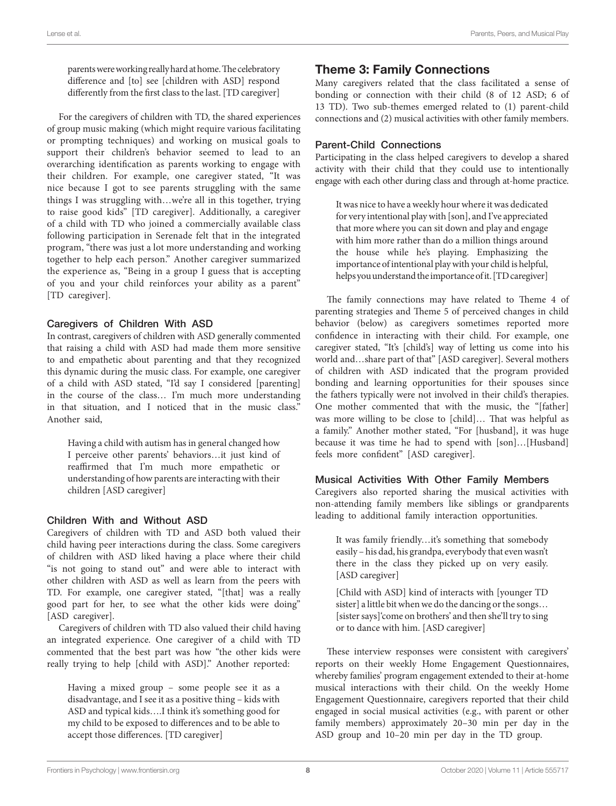parents were working really hard at home. The celebratory difference and [to] see [children with ASD] respond differently from the first class to the last. [TD caregiver]

For the caregivers of children with TD, the shared experiences of group music making (which might require various facilitating or prompting techniques) and working on musical goals to support their children's behavior seemed to lead to an overarching identification as parents working to engage with their children. For example, one caregiver stated, "It was nice because I got to see parents struggling with the same things I was struggling with…we're all in this together, trying to raise good kids" [TD caregiver]. Additionally, a caregiver of a child with TD who joined a commercially available class following participation in Serenade felt that in the integrated program, "there was just a lot more understanding and working together to help each person." Another caregiver summarized the experience as, "Being in a group I guess that is accepting of you and your child reinforces your ability as a parent" [TD caregiver].

#### Caregivers of Children With ASD

In contrast, caregivers of children with ASD generally commented that raising a child with ASD had made them more sensitive to and empathetic about parenting and that they recognized this dynamic during the music class. For example, one caregiver of a child with ASD stated, "I'd say I considered [parenting] in the course of the class… I'm much more understanding in that situation, and I noticed that in the music class." Another said,

Having a child with autism has in general changed how I perceive other parents' behaviors…it just kind of reaffirmed that I'm much more empathetic or understanding of how parents are interacting with their children [ASD caregiver]

#### Children With and Without ASD

Caregivers of children with TD and ASD both valued their child having peer interactions during the class. Some caregivers of children with ASD liked having a place where their child "is not going to stand out" and were able to interact with other children with ASD as well as learn from the peers with TD. For example, one caregiver stated, "[that] was a really good part for her, to see what the other kids were doing" [ASD caregiver].

Caregivers of children with TD also valued their child having an integrated experience. One caregiver of a child with TD commented that the best part was how "the other kids were really trying to help [child with ASD]." Another reported:

Having a mixed group – some people see it as a disadvantage, and I see it as a positive thing – kids with ASD and typical kids….I think it's something good for my child to be exposed to differences and to be able to accept those differences. [TD caregiver]

## Theme 3: Family Connections

Many caregivers related that the class facilitated a sense of bonding or connection with their child (8 of 12 ASD; 6 of 13 TD). Two sub-themes emerged related to (1) parent-child connections and (2) musical activities with other family members.

#### Parent-Child Connections

Participating in the class helped caregivers to develop a shared activity with their child that they could use to intentionally engage with each other during class and through at-home practice.

It was nice to have a weekly hour where it was dedicated for very intentional play with [son], and I've appreciated that more where you can sit down and play and engage with him more rather than do a million things around the house while he's playing. Emphasizing the importance of intentional play with your child is helpful, helps you understand the importance of it. [TD caregiver]

The family connections may have related to Theme 4 of parenting strategies and Theme 5 of perceived changes in child behavior (below) as caregivers sometimes reported more confidence in interacting with their child. For example, one caregiver stated, "It's [child's] way of letting us come into his world and…share part of that" [ASD caregiver]. Several mothers of children with ASD indicated that the program provided bonding and learning opportunities for their spouses since the fathers typically were not involved in their child's therapies. One mother commented that with the music, the "[father] was more willing to be close to [child]... That was helpful as a family." Another mother stated, "For [husband], it was huge because it was time he had to spend with [son]…[Husband] feels more confident" [ASD caregiver].

#### Musical Activities With Other Family Members

Caregivers also reported sharing the musical activities with non-attending family members like siblings or grandparents leading to additional family interaction opportunities.

It was family friendly…it's something that somebody easily – his dad, his grandpa, everybody that even wasn't there in the class they picked up on very easily. [ASD caregiver]

[Child with ASD] kind of interacts with [younger TD sister] a little bit when we do the dancing or the songs... [sister says]'come on brothers' and then she'll try to sing or to dance with him. [ASD caregiver]

These interview responses were consistent with caregivers' reports on their weekly Home Engagement Questionnaires, whereby families' program engagement extended to their at-home musical interactions with their child. On the weekly Home Engagement Questionnaire, caregivers reported that their child engaged in social musical activities (e.g., with parent or other family members) approximately 20–30 min per day in the ASD group and 10–20 min per day in the TD group.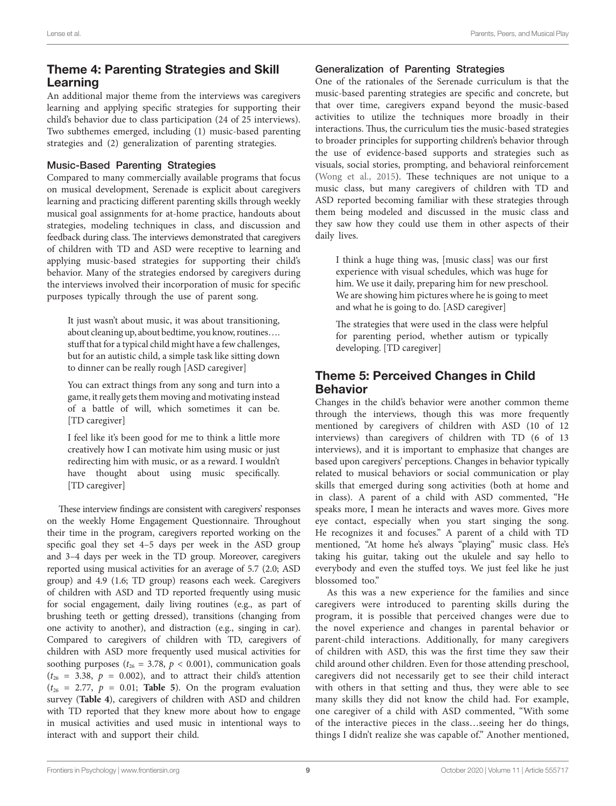# Theme 4: Parenting Strategies and Skill Learning

An additional major theme from the interviews was caregivers learning and applying specific strategies for supporting their child's behavior due to class participation (24 of 25 interviews). Two subthemes emerged, including (1) music-based parenting strategies and (2) generalization of parenting strategies.

## Music-Based Parenting Strategies

Compared to many commercially available programs that focus on musical development, Serenade is explicit about caregivers learning and practicing different parenting skills through weekly musical goal assignments for at-home practice, handouts about strategies, modeling techniques in class, and discussion and feedback during class. The interviews demonstrated that caregivers of children with TD and ASD were receptive to learning and applying music-based strategies for supporting their child's behavior. Many of the strategies endorsed by caregivers during the interviews involved their incorporation of music for specific purposes typically through the use of parent song.

It just wasn't about music, it was about transitioning, about cleaning up, about bedtime, you know, routines…. stuff that for a typical child might have a few challenges, but for an autistic child, a simple task like sitting down to dinner can be really rough [ASD caregiver]

You can extract things from any song and turn into a game, it really gets them moving and motivating instead of a battle of will, which sometimes it can be. [TD caregiver]

I feel like it's been good for me to think a little more creatively how I can motivate him using music or just redirecting him with music, or as a reward. I wouldn't have thought about using music specifically. [TD caregiver]

These interview findings are consistent with caregivers' responses on the weekly Home Engagement Questionnaire. Throughout their time in the program, caregivers reported working on the specific goal they set 4–5 days per week in the ASD group and 3–4 days per week in the TD group. Moreover, caregivers reported using musical activities for an average of 5.7 (2.0; ASD group) and 4.9 (1.6; TD group) reasons each week. Caregivers of children with ASD and TD reported frequently using music for social engagement, daily living routines (e.g., as part of brushing teeth or getting dressed), transitions (changing from one activity to another), and distraction (e.g., singing in car). Compared to caregivers of children with TD, caregivers of children with ASD more frequently used musical activities for soothing purposes ( $t_{26}$  = 3.78,  $p$  < 0.001), communication goals  $(t_{26} = 3.38, p = 0.002)$ , and to attract their child's attention  $(t_{26} = 2.77, p = 0.01;$  **Table 5**). On the program evaluation survey (**[Table 4](#page-4-1)**), caregivers of children with ASD and children with TD reported that they knew more about how to engage in musical activities and used music in intentional ways to interact with and support their child.

# Generalization of Parenting Strategies

One of the rationales of the Serenade curriculum is that the music-based parenting strategies are specific and concrete, but that over time, caregivers expand beyond the music-based activities to utilize the techniques more broadly in their interactions. Thus, the curriculum ties the music-based strategies to broader principles for supporting children's behavior through the use of evidence-based supports and strategies such as visuals, social stories, prompting, and behavioral reinforcement [\(Wong et al., 2015](#page-13-1)). These techniques are not unique to a music class, but many caregivers of children with TD and ASD reported becoming familiar with these strategies through them being modeled and discussed in the music class and they saw how they could use them in other aspects of their daily lives.

I think a huge thing was, [music class] was our first experience with visual schedules, which was huge for him. We use it daily, preparing him for new preschool. We are showing him pictures where he is going to meet and what he is going to do. [ASD caregiver]

The strategies that were used in the class were helpful for parenting period, whether autism or typically developing. [TD caregiver]

# Theme 5: Perceived Changes in Child Behavior

Changes in the child's behavior were another common theme through the interviews, though this was more frequently mentioned by caregivers of children with ASD (10 of 12 interviews) than caregivers of children with TD (6 of 13 interviews), and it is important to emphasize that changes are based upon caregivers' perceptions. Changes in behavior typically related to musical behaviors or social communication or play skills that emerged during song activities (both at home and in class). A parent of a child with ASD commented, "He speaks more, I mean he interacts and waves more. Gives more eye contact, especially when you start singing the song. He recognizes it and focuses." A parent of a child with TD mentioned, "At home he's always "playing" music class. He's taking his guitar, taking out the ukulele and say hello to everybody and even the stuffed toys. We just feel like he just blossomed too."

As this was a new experience for the families and since caregivers were introduced to parenting skills during the program, it is possible that perceived changes were due to the novel experience and changes in parental behavior or parent-child interactions. Additionally, for many caregivers of children with ASD, this was the first time they saw their child around other children. Even for those attending preschool, caregivers did not necessarily get to see their child interact with others in that setting and thus, they were able to see many skills they did not know the child had. For example, one caregiver of a child with ASD commented, "With some of the interactive pieces in the class…seeing her do things, things I didn't realize she was capable of." Another mentioned,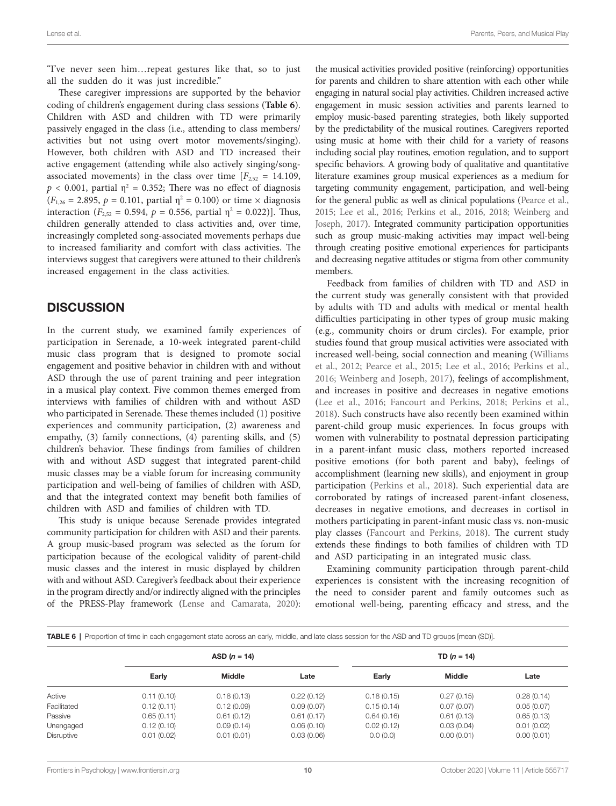"I've never seen him…repeat gestures like that, so to just all the sudden do it was just incredible."

These caregiver impressions are supported by the behavior coding of children's engagement during class sessions (**[Table 6](#page-9-0)**). Children with ASD and children with TD were primarily passively engaged in the class (i.e., attending to class members/ activities but not using overt motor movements/singing). However, both children with ASD and TD increased their active engagement (attending while also actively singing/songassociated movements) in the class over time  $[F<sub>2.52</sub> = 14.109,$  $p < 0.001$ , partial  $\eta^2 = 0.352$ ; There was no effect of diagnosis  $(F_{1,26} = 2.895, p = 0.101,$  partial  $\eta^2 = 0.100$ ) or time  $\times$  diagnosis interaction ( $F_{2,52} = 0.594$ ,  $p = 0.556$ , partial  $\eta^2 = 0.022$ )]. Thus, children generally attended to class activities and, over time, increasingly completed song-associated movements perhaps due to increased familiarity and comfort with class activities. The interviews suggest that caregivers were attuned to their children's increased engagement in the class activities.

## **DISCUSSION**

In the current study, we examined family experiences of participation in Serenade, a 10-week integrated parent-child music class program that is designed to promote social engagement and positive behavior in children with and without ASD through the use of parent training and peer integration in a musical play context. Five common themes emerged from interviews with families of children with and without ASD who participated in Serenade. These themes included (1) positive experiences and community participation, (2) awareness and empathy, (3) family connections, (4) parenting skills, and (5) children's behavior. These findings from families of children with and without ASD suggest that integrated parent-child music classes may be a viable forum for increasing community participation and well-being of families of children with ASD, and that the integrated context may benefit both families of children with ASD and families of children with TD.

This study is unique because Serenade provides integrated community participation for children with ASD and their parents. A group music-based program was selected as the forum for participation because of the ecological validity of parent-child music classes and the interest in music displayed by children with and without ASD. Caregiver's feedback about their experience in the program directly and/or indirectly aligned with the principles of the PRESS-Play framework [\(Lense and Camarata, 2020](#page-12-24)):

the musical activities provided positive (reinforcing) opportunities for parents and children to share attention with each other while engaging in natural social play activities. Children increased active engagement in music session activities and parents learned to employ music-based parenting strategies, both likely supported by the predictability of the musical routines. Caregivers reported using music at home with their child for a variety of reasons including social play routines, emotion regulation, and to support specific behaviors. A growing body of qualitative and quantitative literature examines group musical experiences as a medium for targeting community engagement, participation, and well-being for the general public as well as clinical populations [\(Pearce et al.,](#page-12-35)  [2015](#page-12-35); [Lee et al., 2016](#page-12-36); [Perkins et al., 2016](#page-12-37), [2018;](#page-12-30) [Weinberg and](#page-12-38)  [Joseph, 2017\)](#page-12-38). Integrated community participation opportunities such as group music-making activities may impact well-being through creating positive emotional experiences for participants and decreasing negative attitudes or stigma from other community members.

Feedback from families of children with TD and ASD in the current study was generally consistent with that provided by adults with TD and adults with medical or mental health difficulties participating in other types of group music making (e.g., community choirs or drum circles). For example, prior studies found that group musical activities were associated with increased well-being, social connection and meaning ([Williams](#page-13-2)  [et al., 2012;](#page-13-2) [Pearce et al., 2015](#page-12-35); [Lee et al., 2016;](#page-12-36) [Perkins et al.,](#page-12-37)  [2016;](#page-12-37) [Weinberg and Joseph, 2017](#page-12-38)), feelings of accomplishment, and increases in positive and decreases in negative emotions [\(Lee et al., 2016;](#page-12-36) [Fancourt and Perkins, 2018](#page-12-39); [Perkins et al.,](#page-12-30)  [2018\)](#page-12-30). Such constructs have also recently been examined within parent-child group music experiences. In focus groups with women with vulnerability to postnatal depression participating in a parent-infant music class, mothers reported increased positive emotions (for both parent and baby), feelings of accomplishment (learning new skills), and enjoyment in group participation [\(Perkins et al., 2018\)](#page-12-30). Such experiential data are corroborated by ratings of increased parent-infant closeness, decreases in negative emotions, and decreases in cortisol in mothers participating in parent-infant music class vs. non-music play classes ([Fancourt and Perkins, 2018](#page-12-39)). The current study extends these findings to both families of children with TD and ASD participating in an integrated music class.

Examining community participation through parent-child experiences is consistent with the increasing recognition of the need to consider parent and family outcomes such as emotional well-being, parenting efficacy and stress, and the

<span id="page-9-0"></span>

|  | TABLE 6   Proportion of time in each engagement state across an early, middle, and late class session for the ASD and TD groups [mean (SD)]. |
|--|----------------------------------------------------------------------------------------------------------------------------------------------|
|  |                                                                                                                                              |

|             | $ASD (n = 14)$ |               |            | TD $(n = 14)$ |               |            |
|-------------|----------------|---------------|------------|---------------|---------------|------------|
|             | Early          | <b>Middle</b> | Late       | Early         | <b>Middle</b> | Late       |
| Active      | 0.11(0.10)     | 0.18(0.13)    | 0.22(0.12) | 0.18(0.15)    | 0.27(0.15)    | 0.28(0.14) |
| Facilitated | 0.12(0.11)     | 0.12(0.09)    | 0.09(0.07) | 0.15(0.14)    | 0.07(0.07)    | 0.05(0.07) |
| Passive     | 0.65(0.11)     | 0.61(0.12)    | 0.61(0.17) | 0.64(0.16)    | 0.61(0.13)    | 0.65(0.13) |
| Unengaged   | 0.12(0.10)     | 0.09(0.14)    | 0.06(0.10) | 0.02(0.12)    | 0.03(0.04)    | 0.01(0.02) |
| Disruptive  | 0.01(0.02)     | 0.01(0.01)    | 0.03(0.06) | 0.0(0.0)      | 0.00(0.01)    | 0.00(0.01) |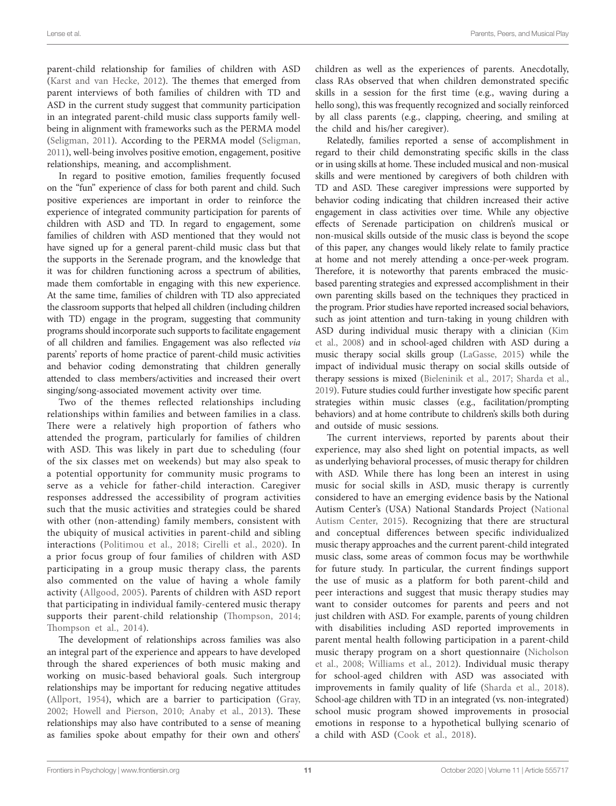parent-child relationship for families of children with ASD ([Karst and van Hecke, 2012\)](#page-12-7). The themes that emerged from parent interviews of both families of children with TD and ASD in the current study suggest that community participation in an integrated parent-child music class supports family wellbeing in alignment with frameworks such as the PERMA model ([Seligman, 2011\)](#page-12-40). According to the PERMA model [\(Seligman,](#page-12-40)  [2011](#page-12-40)), well-being involves positive emotion, engagement, positive relationships, meaning, and accomplishment.

In regard to positive emotion, families frequently focused on the "fun" experience of class for both parent and child. Such positive experiences are important in order to reinforce the experience of integrated community participation for parents of children with ASD and TD. In regard to engagement, some families of children with ASD mentioned that they would not have signed up for a general parent-child music class but that the supports in the Serenade program, and the knowledge that it was for children functioning across a spectrum of abilities, made them comfortable in engaging with this new experience. At the same time, families of children with TD also appreciated the classroom supports that helped all children (including children with TD) engage in the program, suggesting that community programs should incorporate such supports to facilitate engagement of all children and families. Engagement was also reflected *via* parents' reports of home practice of parent-child music activities and behavior coding demonstrating that children generally attended to class members/activities and increased their overt singing/song-associated movement activity over time.

Two of the themes reflected relationships including relationships within families and between families in a class. There were a relatively high proportion of fathers who attended the program, particularly for families of children with ASD. This was likely in part due to scheduling (four of the six classes met on weekends) but may also speak to a potential opportunity for community music programs to serve as a vehicle for father-child interaction. Caregiver responses addressed the accessibility of program activities such that the music activities and strategies could be shared with other (non-attending) family members, consistent with the ubiquity of musical activities in parent-child and sibling interactions [\(Politimou et al., 2018;](#page-12-23) [Cirelli et al., 2020](#page-11-6)). In a prior focus group of four families of children with ASD participating in a group music therapy class, the parents also commented on the value of having a whole family activity ([Allgood, 2005\)](#page-11-9). Parents of children with ASD report that participating in individual family-centered music therapy supports their parent-child relationship ([Thompson, 2014](#page-12-41); [Thompson et al., 2014](#page-12-28)).

The development of relationships across families was also an integral part of the experience and appears to have developed through the shared experiences of both music making and working on music-based behavioral goals. Such intergroup relationships may be important for reducing negative attitudes ([Allport, 1954](#page-11-5)), which are a barrier to participation [\(Gray,](#page-12-10)  [2002;](#page-12-10) [Howell and Pierson, 2010;](#page-12-11) [Anaby et al., 2013](#page-11-3)). These relationships may also have contributed to a sense of meaning as families spoke about empathy for their own and others'

children as well as the experiences of parents. Anecdotally, class RAs observed that when children demonstrated specific skills in a session for the first time (e.g., waving during a hello song), this was frequently recognized and socially reinforced by all class parents (e.g., clapping, cheering, and smiling at the child and his/her caregiver).

Relatedly, families reported a sense of accomplishment in regard to their child demonstrating specific skills in the class or in using skills at home. These included musical and non-musical skills and were mentioned by caregivers of both children with TD and ASD. These caregiver impressions were supported by behavior coding indicating that children increased their active engagement in class activities over time. While any objective effects of Serenade participation on children's musical or non-musical skills outside of the music class is beyond the scope of this paper, any changes would likely relate to family practice at home and not merely attending a once-per-week program. Therefore, it is noteworthy that parents embraced the musicbased parenting strategies and expressed accomplishment in their own parenting skills based on the techniques they practiced in the program. Prior studies have reported increased social behaviors, such as joint attention and turn-taking in young children with ASD during individual music therapy with a clinician [\(Kim](#page-12-25)  [et al., 2008](#page-12-25)) and in school-aged children with ASD during a music therapy social skills group ([LaGasse, 2015\)](#page-12-27) while the impact of individual music therapy on social skills outside of therapy sessions is mixed ([Bieleninik et al., 2017;](#page-11-10) [Sharda et al.,](#page-12-42)  [2019\)](#page-12-42). Future studies could further investigate how specific parent strategies within music classes (e.g., facilitation/prompting behaviors) and at home contribute to children's skills both during and outside of music sessions.

The current interviews, reported by parents about their experience, may also shed light on potential impacts, as well as underlying behavioral processes, of music therapy for children with ASD. While there has long been an interest in using music for social skills in ASD, music therapy is currently considered to have an emerging evidence basis by the National Autism Center's (USA) National Standards Project ([National](#page-12-43)  [Autism Center, 2015\)](#page-12-43). Recognizing that there are structural and conceptual differences between specific individualized music therapy approaches and the current parent-child integrated music class, some areas of common focus may be worthwhile for future study. In particular, the current findings support the use of music as a platform for both parent-child and peer interactions and suggest that music therapy studies may want to consider outcomes for parents and peers and not just children with ASD. For example, parents of young children with disabilities including ASD reported improvements in parent mental health following participation in a parent-child music therapy program on a short questionnaire [\(Nicholson](#page-12-44)  [et al., 2008;](#page-12-44) [Williams et al., 2012\)](#page-13-2). Individual music therapy for school-aged children with ASD was associated with improvements in family quality of life [\(Sharda et al., 2018](#page-12-45)). School-age children with TD in an integrated (vs. non-integrated) school music program showed improvements in prosocial emotions in response to a hypothetical bullying scenario of a child with ASD [\(Cook et al., 2018\)](#page-11-11).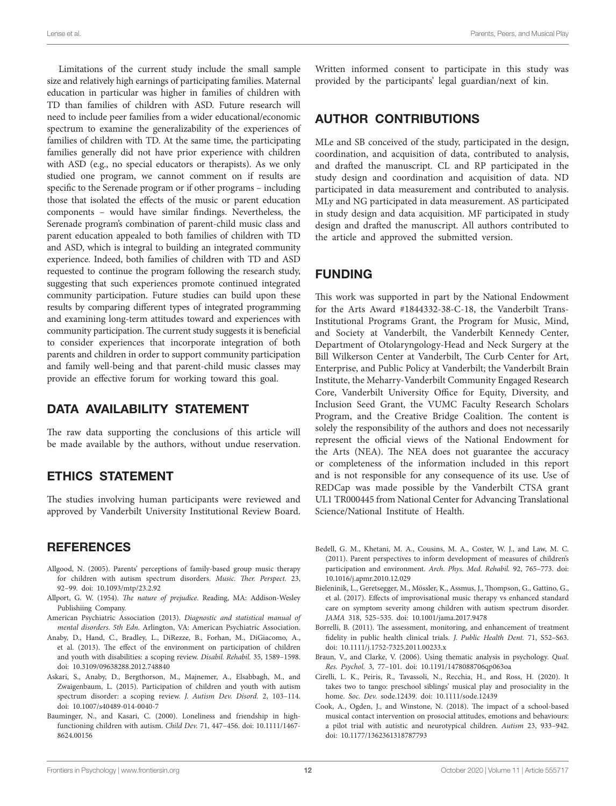Limitations of the current study include the small sample size and relatively high earnings of participating families. Maternal education in particular was higher in families of children with TD than families of children with ASD. Future research will need to include peer families from a wider educational/economic spectrum to examine the generalizability of the experiences of families of children with TD. At the same time, the participating families generally did not have prior experience with children with ASD (e.g., no special educators or therapists). As we only studied one program, we cannot comment on if results are specific to the Serenade program or if other programs – including those that isolated the effects of the music or parent education components – would have similar findings. Nevertheless, the Serenade program's combination of parent-child music class and parent education appealed to both families of children with TD and ASD, which is integral to building an integrated community experience. Indeed, both families of children with TD and ASD requested to continue the program following the research study, suggesting that such experiences promote continued integrated community participation. Future studies can build upon these results by comparing different types of integrated programming and examining long-term attitudes toward and experiences with community participation. The current study suggests it is beneficial to consider experiences that incorporate integration of both parents and children in order to support community participation and family well-being and that parent-child music classes may provide an effective forum for working toward this goal.

## DATA AVAILABILITY STATEMENT

The raw data supporting the conclusions of this article will be made available by the authors, without undue reservation.

## ETHICS STATEMENT

The studies involving human participants were reviewed and approved by Vanderbilt University Institutional Review Board.

#### **REFERENCES**

- <span id="page-11-9"></span>Allgood, N. (2005). Parents' perceptions of family-based group music therapy for children with autism spectrum disorders. *Music. Ther. Perspect.* 23, 92–99. doi: [10.1093/mtp/23.2.92](https://doi.org/10.1093/mtp/23.2.92)
- <span id="page-11-5"></span>Allport, G. W. (1954). *The nature of prejudice*. Reading, MA: Addison-Wesley Publishiing Company.
- <span id="page-11-1"></span>American Psychiatric Association (2013). *Diagnostic and statistical manual of mental disorders*. *5th Edn*. Arlington, VA: American Psychiatric Association.
- <span id="page-11-3"></span>Anaby, D., Hand, C., Bradley, L., DiRezze, B., Forhan, M., DiGiacomo, A., et al. (2013). The effect of the environment on participation of children and youth with disabilities: a scoping review. *Disabil. Rehabil.* 35, 1589–1598. doi: [10.3109/09638288.2012.748840](https://doi.org/10.3109/09638288.2012.748840)
- <span id="page-11-0"></span>Askari, S., Anaby, D., Bergthorson, M., Majnemer, A., Elsabbagh, M., and Zwaigenbaum, L. (2015). Participation of children and youth with autism spectrum disorder: a scoping review. *J. Autism Dev. Disord.* 2, 103–114. doi: [10.1007/s40489-014-0040-7](https://doi.org/10.1007/s40489-014-0040-7)
- <span id="page-11-2"></span>Bauminger, N., and Kasari, C. (2000). Loneliness and friendship in highfunctioning children with autism. *Child Dev.* 71, 447–456. doi: [10.1111/1467-](https://doi.org/10.1111/1467-8624.00156) [8624.00156](https://doi.org/10.1111/1467-8624.00156)

Written informed consent to participate in this study was provided by the participants' legal guardian/next of kin.

## AUTHOR CONTRIBUTIONS

MLe and SB conceived of the study, participated in the design, coordination, and acquisition of data, contributed to analysis, and drafted the manuscript. CL and RP participated in the study design and coordination and acquisition of data. ND participated in data measurement and contributed to analysis. MLy and NG participated in data measurement. AS participated in study design and data acquisition. MF participated in study design and drafted the manuscript. All authors contributed to the article and approved the submitted version.

## FUNDING

This work was supported in part by the National Endowment for the Arts Award #1844332-38-C-18, the Vanderbilt Trans-Institutional Programs Grant, the Program for Music, Mind, and Society at Vanderbilt, the Vanderbilt Kennedy Center, Department of Otolaryngology-Head and Neck Surgery at the Bill Wilkerson Center at Vanderbilt, The Curb Center for Art, Enterprise, and Public Policy at Vanderbilt; the Vanderbilt Brain Institute, the Meharry-Vanderbilt Community Engaged Research Core, Vanderbilt University Office for Equity, Diversity, and Inclusion Seed Grant, the VUMC Faculty Research Scholars Program, and the Creative Bridge Coalition. The content is solely the responsibility of the authors and does not necessarily represent the official views of the National Endowment for the Arts (NEA). The NEA does not guarantee the accuracy or completeness of the information included in this report and is not responsible for any consequence of its use. Use of REDCap was made possible by the Vanderbilt CTSA grant UL1 TR000445 from National Center for Advancing Translational Science/National Institute of Health.

- <span id="page-11-4"></span>Bedell, G. M., Khetani, M. A., Cousins, M. A., Coster, W. J., and Law, M. C. (2011). Parent perspectives to inform development of measures of children's participation and environment. *Arch. Phys. Med. Rehabil.* 92, 765–773. doi: [10.1016/j.apmr.2010.12.029](https://doi.org/10.1016/j.apmr.2010.12.029)
- <span id="page-11-10"></span>Bieleninik, L., Geretsegger, M., Mössler, K., Assmus, J., Thompson, G., Gattino, G., et al. (2017). Effects of improvisational music therapy vs enhanced standard care on symptom severity among children with autism spectrum disorder. *JAMA* 318, 525–535. doi: [10.1001/jama.2017.9478](https://doi.org/10.1001/jama.2017.9478)
- <span id="page-11-7"></span>Borrelli, B. (2011). The assessment, monitoring, and enhancement of treatment fidelity in public health clinical trials. *J. Public Health Dent.* 71, S52–S63. doi: [10.1111/j.1752-7325.2011.00233.x](https://doi.org/10.1111/j.1752-7325.2011.00233.x)
- <span id="page-11-8"></span>Braun, V., and Clarke, V. (2006). Using thematic analysis in psychology. *Qual. Res. Psychol.* 3, 77–101. doi: [10.1191/1478088706qp063oa](https://doi.org/10.1191/1478088706qp063oa)
- <span id="page-11-6"></span>Cirelli, L. K., Peiris, R., Tavassoli, N., Recchia, H., and Ross, H. (2020). It takes two to tango: preschool siblings' musical play and prosociality in the home. *Soc. Dev.* sode.12439. doi: [10.1111/sode.12439](https://doi.org/10.1111/sode.12439)
- <span id="page-11-11"></span>Cook, A., Ogden, J., and Winstone, N. (2018). The impact of a school-based musical contact intervention on prosocial attitudes, emotions and behaviours: a pilot trial with autistic and neurotypical children. *Autism* 23, 933–942. doi: [10.1177/1362361318787793](https://doi.org/10.1177/1362361318787793)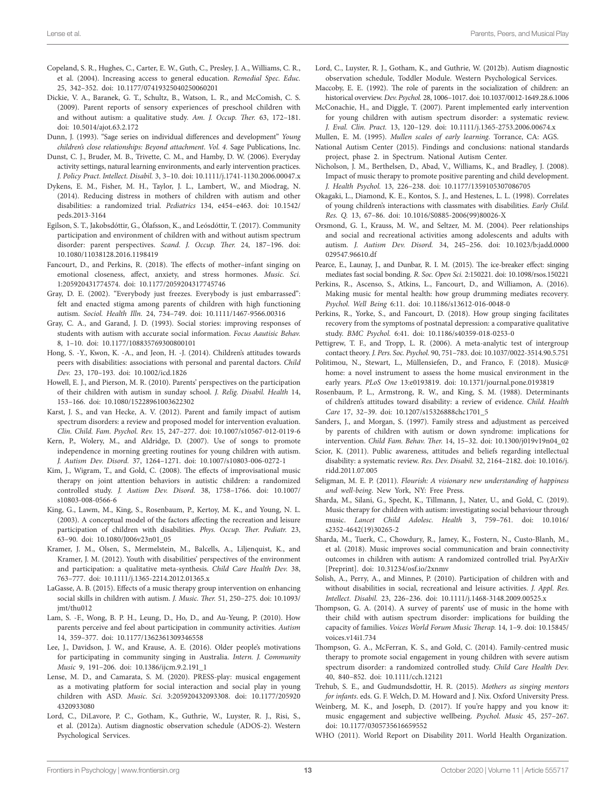- <span id="page-12-14"></span>Copeland, S. R., Hughes, C., Carter, E. W., Guth, C., Presley, J. A., Williams, C. R., et al. (2004). Increasing access to general education. *Remedial Spec. Educ.* 25, 342–352. doi: [10.1177/07419325040250060201](https://doi.org/10.1177/07419325040250060201)
- <span id="page-12-29"></span>Dickie, V. A., Baranek, G. T., Schultz, B., Watson, L. R., and McComish, C. S. (2009). Parent reports of sensory experiences of preschool children with and without autism: a qualitative study. *Am. J. Occup. Ther.* 63, 172–181. doi: [10.5014/ajot.63.2.172](https://doi.org/10.5014/ajot.63.2.172)
- <span id="page-12-20"></span>Dunn, J. (1993). "Sage series on individual differences and development" *Young children's close relationships: Beyond attachment*. *Vol. 4.* Sage Publications, Inc.
- <span id="page-12-2"></span>Dunst, C. J., Bruder, M. B., Trivette, C. M., and Hamby, D. W. (2006). Everyday activity settings, natural learning environments, and early intervention practices. *J. Policy Pract. Intellect. Disabil.* 3, 3–10. doi: [10.1111/j.1741-1130.2006.00047.x](https://doi.org/10.1111/j.1741-1130.2006.00047.x)
- <span id="page-12-9"></span>Dykens, E. M., Fisher, M. H., Taylor, J. L., Lambert, W., and Miodrag, N. (2014). Reducing distress in mothers of children with autism and other disabilities: a randomized trial. *Pediatrics* 134, e454–e463. doi: [10.1542/](https://doi.org/10.1542/peds.2013-3164) [peds.2013-3164](https://doi.org/10.1542/peds.2013-3164)
- <span id="page-12-5"></span>Egilson, S. T., Jakobsdóttir, G., Ólafsson, K., and Leósdóttir, T. (2017). Community participation and environment of children with and without autism spectrum disorder: parent perspectives. *Scand. J. Occup. Ther.* 24, 187–196. doi: [10.1080/11038128.2016.1198419](https://doi.org/10.1080/11038128.2016.1198419)
- <span id="page-12-39"></span>Fancourt, D., and Perkins, R. (2018). The effects of mother–infant singing on emotional closeness, affect, anxiety, and stress hormones. *Music. Sci.* 1:205920431774574. doi: [10.1177/2059204317745746](https://doi.org/10.1177/2059204317745746)
- <span id="page-12-10"></span>Gray, D. E. (2002). "Everybody just freezes. Everybody is just embarrassed": felt and enacted stigma among parents of children with high functioning autism. *Sociol. Health Illn.* 24, 734–749. doi: [10.1111/1467-9566.00316](https://doi.org/10.1111/1467-9566.00316)
- <span id="page-12-34"></span>Gray, C. A., and Garand, J. D. (1993). Social stories: improving responses of students with autism with accurate social information. *Focus Aautisic Behav.* 8, 1–10. doi: [10.1177/108835769300800101](https://doi.org/10.1177/108835769300800101)
- <span id="page-12-18"></span>Hong, S. -Y., Kwon, K. -A., and Jeon, H. -J. (2014). Children's attitudes towards peers with disabilities: associations with personal and parental dactors. *Child Dev.* 23, 170–193. doi: [10.1002/icd.1826](https://doi.org/10.1002/icd.1826)
- <span id="page-12-11"></span>Howell, E. J., and Pierson, M. R. (2010). Parents' perspectives on the participation of their children with autism in sunday school. *J. Relig. Disabil. Health* 14, 153–166. doi: [10.1080/15228961003622302](https://doi.org/10.1080/15228961003622302)
- <span id="page-12-7"></span>Karst, J. S., and van Hecke, A. V. (2012). Parent and family impact of autism spectrum disorders: a review and proposed model for intervention evaluation. *Clin. Child. Fam. Psychol. Rev.* 15, 247–277. doi: [10.1007/s10567-012-0119-6](https://doi.org/10.1007/s10567-012-0119-6)
- <span id="page-12-26"></span>Kern, P., Wolery, M., and Aldridge, D. (2007). Use of songs to promote independence in morning greeting routines for young children with autism. *J. Autism Dev. Disord.* 37, 1264–1271. doi: [10.1007/s10803-006-0272-1](https://doi.org/10.1007/s10803-006-0272-1)
- <span id="page-12-25"></span>Kim, J., Wigram, T., and Gold, C. (2008). The effects of improvisational music therapy on joint attention behaviors in autistic children: a randomized controlled study. *J. Autism Dev. Disord.* 38, 1758–1766. doi: [10.1007/](https://doi.org/10.1007/s10803-008-0566-6) [s10803-008-0566-6](https://doi.org/10.1007/s10803-008-0566-6)
- <span id="page-12-1"></span>King, G., Lawm, M., King, S., Rosenbaum, P., Kertoy, M. K., and Young, N. L. (2003). A conceptual model of the factors affecting the recreation and leisure participation of children with disabilities. *Phys. Occup. Ther. Pediatr.* 23, 63–90. doi: [10.1080/J006v23n01\\_05](https://doi.org/10.1080/J006v23n01_05)
- <span id="page-12-12"></span>Kramer, J. M., Olsen, S., Mermelstein, M., Balcells, A., Liljenquist, K., and Kramer, J. M. (2012). Youth with disabilities' perspectives of the environment and participation: a qualitative meta-synthesis. *Child Care Health Dev.* 38, 763–777. doi: [10.1111/j.1365-2214.2012.01365.x](https://doi.org/10.1111/j.1365-2214.2012.01365.x)
- <span id="page-12-27"></span>LaGasse, A. B. (2015). Effects of a music therapy group intervention on enhancing social skills in children with autism. *J. Music. Ther.* 51, 250–275. doi: [10.1093/](https://doi.org/10.1093/jmt/thu012) imt/thu012
- <span id="page-12-6"></span>Lam, S. -F., Wong, B. P. H., Leung, D., Ho, D., and Au-Yeung, P. (2010). How parents perceive and feel about participation in community activities. *Autism* 14, 359–377. doi: [10.1177/1362361309346558](https://doi.org/10.1177/1362361309346558)
- <span id="page-12-36"></span>Lee, J., Davidson, J. W., and Krause, A. E. (2016). Older people's motivations for participating in community singing in Australia. *Intern. J. Community Music* 9, 191–206. doi: [10.1386/ijcm.9.2.191\\_1](https://doi.org/10.1386/ijcm.9.2.191_1)
- <span id="page-12-24"></span>Lense, M. D., and Camarata, S. M. (2020). PRESS-play: musical engagement as a motivating platform for social interaction and social play in young children with ASD. *Music. Sci.* 3:205920432093308. doi: [10.1177/205920](https://doi.org/10.1177/2059204320933080) [4320933080](https://doi.org/10.1177/2059204320933080)
- <span id="page-12-31"></span>Lord, C., DiLavore, P. C., Gotham, K., Guthrie, W., Luyster, R. J., Risi, S., et al. (2012a). Autism diagnostic observation schedule (ADOS-2). Western Psychological Services.
- <span id="page-12-32"></span>Lord, C., Luyster, R. J., Gotham, K., and Guthrie, W. (2012b). Autism diagnostic observation schedule, Toddler Module. Western Psychological Services.
- <span id="page-12-16"></span>Maccoby, E. E. (1992). The role of parents in the socialization of children: an historical overview. *Dev. Psychol.* 28, 1006–1017. doi: [10.1037/0012-1649.28.6.1006](https://doi.org/10.1037/0012-1649.28.6.1006)
- <span id="page-12-21"></span>McConachie, H., and Diggle, T. (2007). Parent implemented early intervention for young children with autism spectrum disorder: a systematic review. *J. Eval. Clin. Pract.* 13, 120–129. doi: [10.1111/j.1365-2753.2006.00674.x](https://doi.org/10.1111/j.1365-2753.2006.00674.x)
- <span id="page-12-33"></span>Mullen, E. M. (1995). *Mullen scales of early learning*. Torrance, CA: AGS.
- <span id="page-12-43"></span>National Autism Center (2015). Findings and conclusions: national standards project, phase 2. in Spectrum. National Autism Center.
- <span id="page-12-44"></span>Nicholson, J. M., Berthelsen, D., Abad, V., Williams, K., and Bradley, J. (2008). Impact of music therapy to promote positive parenting and child development. *J. Health Psychol.* 13, 226–238. doi: [10.1177/1359105307086705](https://doi.org/10.1177/1359105307086705)
- <span id="page-12-19"></span>Okagaki, L., Diamond, K. E., Kontos, S. J., and Hestenes, L. L. (1998). Correlates of young children's interactions with classmates with disabilities. *Early Child. Res. Q.* 13, 67–86. doi: [10.1016/S0885-2006\(99\)80026-X](https://doi.org/10.1016/S0885-2006(99)80026-X)
- <span id="page-12-8"></span>Orsmond, G. I., Krauss, M. W., and Seltzer, M. M. (2004). Peer relationships and social and recreational activities among adolescents and adults with autism. *J. Autism Dev. Disord.* 34, 245–256. doi: [10.1023/b:jadd.0000](https://doi.org/10.1023/b:jadd.0000029547.96610.df) [029547.96610.df](https://doi.org/10.1023/b:jadd.0000029547.96610.df)
- <span id="page-12-35"></span>Pearce, E., Launay, J., and Dunbar, R. I. M. (2015). The ice-breaker effect: singing mediates fast social bonding. *R. Soc. Open Sci.* 2:150221. doi: [10.1098/rsos.150221](https://doi.org/10.1098/rsos.150221)
- <span id="page-12-37"></span>Perkins, R., Ascenso, S., Atkins, L., Fancourt, D., and Williamon, A. (2016). Making music for mental health: how group drumming mediates recovery. *Psychol. Well Being* 6:11. doi: [10.1186/s13612-016-0048-0](https://doi.org/10.1186/s13612-016-0048-0)
- <span id="page-12-30"></span>Perkins, R., Yorke, S., and Fancourt, D. (2018). How group singing facilitates recovery from the symptoms of postnatal depression: a comparative qualitative study. *BMC Psychol.* 6:41. doi: [10.1186/s40359-018-0253-0](https://doi.org/10.1186/s40359-018-0253-0)
- <span id="page-12-13"></span>Pettigrew, T. F., and Tropp, L. R. (2006). A meta-analytic test of intergroup contact theory. *J. Pers. Soc. Psychol.* 90, 751–783. doi: [10.1037/0022-3514.90.5.751](https://doi.org/10.1037/0022-3514.90.5.751)
- <span id="page-12-23"></span>Politimou, N., Stewart, L., Müllensiefen, D., and Franco, F. (2018). Music@ home: a novel instrument to assess the home musical environment in the early years. *PLoS One* 13:e0193819. doi: [10.1371/journal.pone.0193819](https://doi.org/10.1371/journal.pone.0193819)
- <span id="page-12-17"></span>Rosenbaum, P. L., Armstrong, R. W., and King, S. M. (1988). Determinants of children's attitudes toward disability: a review of evidence. *Child. Health Care* 17, 32–39. doi: [10.1207/s15326888chc1701\\_5](https://doi.org/10.1207/s15326888chc1701_5)
- <span id="page-12-3"></span>Sanders, J., and Morgan, S. (1997). Family stress and adjustment as perceived by parents of children with autism or down syndrome: implications for intervention. *Child Fam. Behav. Ther.* 14, 15–32. doi: [10.1300/j019v19n04\\_02](https://doi.org/10.1300/j019v19n04_02)
- <span id="page-12-15"></span>Scior, K. (2011). Public awareness, attitudes and beliefs regarding intellectual disability: a systematic review. *Res. Dev. Disabil.* 32, 2164–2182. doi: [10.1016/j.](https://doi.org/10.1016/j.ridd.2011.07.005) [ridd.2011.07.005](https://doi.org/10.1016/j.ridd.2011.07.005)
- <span id="page-12-40"></span>Seligman, M. E. P. (2011). *Flourish: A visionary new understanding of happiness and well-being*. New York, NY: Free Press.
- <span id="page-12-42"></span>Sharda, M., Silani, G., Specht, K., Tillmann, J., Nater, U., and Gold, C. (2019). Music therapy for children with autism: investigating social behaviour through music. *Lancet Child Adolesc. Health* 3, 759–761. doi: [10.1016/](https://doi.org/10.1016/s2352-4642(19)30265-2) [s2352-4642\(19\)30265-2](https://doi.org/10.1016/s2352-4642(19)30265-2)
- <span id="page-12-45"></span>Sharda, M., Tuerk, C., Chowdury, R., Jamey, K., Fostern, N., Custo-Blanh, M., et al. (2018). Music improves social communication and brain connectivity outcomes in children with autism: A randomized controlled trial. PsyArXiv [Preprint]. doi: [10.31234/osf.io/2xnmv](https://doi.org/10.31234/osf.io/2xnmv)
- <span id="page-12-4"></span>Solish, A., Perry, A., and Minnes, P. (2010). Participation of children with and without disabilities in social, recreational and leisure activities. *J. Appl. Res. Intellect. Disabil.* 23, 226–236. doi: [10.1111/j.1468-3148.2009.00525.x](https://doi.org/10.1111/j.1468-3148.2009.00525.x)
- <span id="page-12-41"></span>Thompson, G. A. (2014). A survey of parents' use of music in the home with their child with autism spectrum disorder: implications for building the capacity of families. *Voices World Forum Music Therap.* 14, 1–9. doi: [10.15845/](https://doi.org/10.15845/voices.v14i1.734) [voices.v14i1.734](https://doi.org/10.15845/voices.v14i1.734)
- <span id="page-12-28"></span>Thompson, G. A., McFerran, K. S., and Gold, C. (2014). Family-centred music therapy to promote social engagement in young children with severe autism spectrum disorder: a randomized controlled study. *Child Care Health Dev.* 40, 840–852. doi: [10.1111/cch.12121](https://doi.org/10.1111/cch.12121)
- <span id="page-12-22"></span>Trehub, S. E., and Gudmundsdottir, H. R. (2015). *Mothers as singing mentors for infants*. eds. G. F. Welch, D. M. Howard and J. Nix. Oxford University Press.
- <span id="page-12-38"></span>Weinberg, M. K., and Joseph, D. (2017). If you're happy and you know it: music engagement and subjective wellbeing. *Psychol. Music* 45, 257–267. doi: [10.1177/0305735616659552](https://doi.org/10.1177/0305735616659552)
- <span id="page-12-0"></span>WHO (2011). World Report on Disability 2011. World Health Organization.